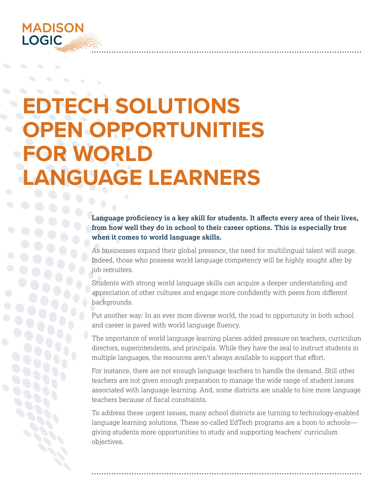

# **TECH SOLUTIONS OPEN OPPORTUNITIES FOR WORLD LANGUAGE LEARNERS**

## **Language proficiency is a key skill for students. It affects every area of their lives, from how well they do in school to their career options. This is especially true when it comes to world language skills.**

As businesses expand their global presence, the need for multilingual talent will surge. Indeed, those who possess world language competency will be highly sought after by job recruiters.

Students with strong world language skills can acquire a deeper understanding and appreciation of other cultures and engage more confidently with peers from different backgrounds.

Put another way: In an ever more diverse world, the road to opportunity in both school and career is paved with world language fluency.

The importance of world language learning places added pressure on teachers, curriculum directors, superintendents, and principals. While they have the zeal to instruct students in multiple languages, the resources aren't always available to support that effort.

For instance, there are not enough language teachers to handle the demand. Still other teachers are not given enough preparation to manage the wide range of student issues associated with language learning. And, some districts are unable to hire more language teachers because of fiscal constraints.

To address these urgent issues, many school districts are turning to technology-enabled language learning solutions. These so-called EdTech programs are a boon to schools giving students more opportunities to study and supporting teachers' curriculum objectives.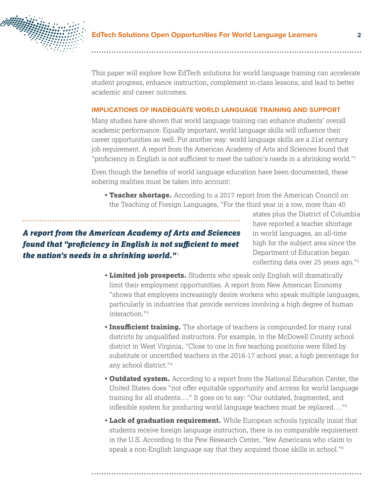

This paper will explore how EdTech solutions for world language training can accelerate student progress, enhance instruction, complement in-class lessons, and lead to better academic and career outcomes.

#### **IMPLICATIONS OF INADEQUATE WORLD LANGUAGE TRAINING AND SUPPORT**

Many studies have shown that world language training can enhance students' overall academic performance. Equally important, world language skills will influence their career opportunities as well. Put another way: world language skills are a 21st century job requirement. A report from the American Academy of Arts and Sciences found that "proficiency in English is not sufficient to meet the nation's needs in a shrinking world."<sup>1</sup>

Even though the benefits of world language education have been documented, these sobering realities must be taken into account:

• **Teacher shortage.** According to a 2017 report from the American Council on the Teaching of Foreign Languages, "For the third year in a row, more than 40

# *A report from the American Academy of Arts and Sciences found that "proficiency in English is not sufficient to meet the nation's needs in a shrinking world."* 1

states plus the District of Columbia have reported a teacher shortage in world languages, an all-time high for the subject area since the Department of Education began collecting data over 25 years ago."2

- **Limited job prospects.** Students who speak only English will dramatically limit their employment opportunities. A report from New American Economy "shows that employers increasingly desire workers who speak multiple languages, particularly in industries that provide services involving a high degree of human interaction."3
- **Insufficient training.** The shortage of teachers is compounded for many rural districts by unqualified instructors. For example, in the McDowell County school district in West Virginia, "Close to one in five teaching positions were filled by substitute or uncertified teachers in the 2016-17 school year, a high percentage for any school district."4
- **Outdated system.** According to a report from the National Education Center, the United States does "not offer equitable opportunity and access for world language training for all students…." It goes on to say: "Our outdated, fragmented, and inflexible system for producing world language teachers must be replaced…."<sup>5</sup>
- **Lack of graduation requirement.** While European schools typically insist that students receive foreign language instruction, there is no comparable requirement in the U.S. According to the Pew Research Center, "few Americans who claim to speak a non-English language say that they acquired those skills in school."<sup>6</sup>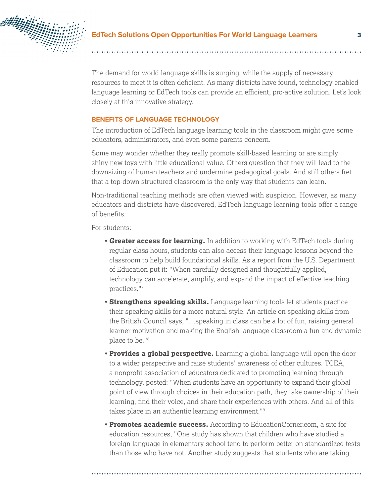

The demand for world language skills is surging, while the supply of necessary resources to meet it is often deficient. As many districts have found, technology-enabled language learning or EdTech tools can provide an efficient, pro-active solution. Let's look closely at this innovative strategy.

#### **BENEFITS OF LANGUAGE TECHNOLOGY**

The introduction of EdTech language learning tools in the classroom might give some educators, administrators, and even some parents concern.

Some may wonder whether they really promote skill-based learning or are simply shiny new toys with little educational value. Others question that they will lead to the downsizing of human teachers and undermine pedagogical goals. And still others fret that a top-down structured classroom is the only way that students can learn.

Non-traditional teaching methods are often viewed with suspicion. However, as many educators and districts have discovered, EdTech language learning tools offer a range of benefits.

For students:

- **Greater access for learning.** In addition to working with EdTech tools during regular class hours, students can also access their language lessons beyond the classroom to help build foundational skills. As a report from the U.S. Department of Education put it: "When carefully designed and thoughtfully applied, technology can accelerate, amplify, and expand the impact of effective teaching practices."7
- **Strengthens speaking skills.** Language learning tools let students practice their speaking skills for a more natural style. An article on speaking skills from the British Council says, "…speaking in class can be a lot of fun, raising general learner motivation and making the English language classroom a fun and dynamic place to be."8
- **Provides a global perspective.** Learning a global language will open the door to a wider perspective and raise students' awareness of other cultures. TCEA, a nonprofit association of educators dedicated to promoting learning through technology, posted: "When students have an opportunity to expand their global point of view through choices in their education path, they take ownership of their learning, find their voice, and share their experiences with others. And all of this takes place in an authentic learning environment."9
- **Promotes academic success.** According to EducationCorner.com, a site for education resources, "One study has shown that children who have studied a foreign language in elementary school tend to perform better on standardized tests than those who have not. Another study suggests that students who are taking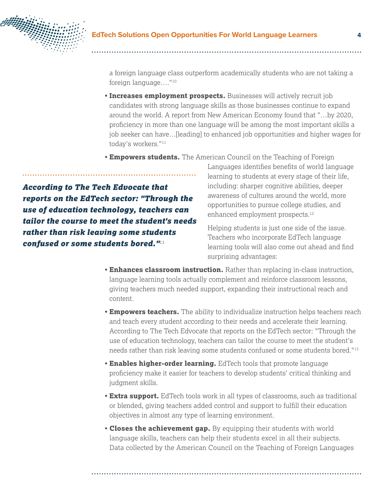

a foreign language class outperform academically students who are not taking a foreign language…."10

- **Increases employment prospects.** Businesses will actively recruit job candidates with strong language skills as those businesses continue to expand around the world. A report from New American Economy found that "…by 2020, proficiency in more than one language will be among the most important skills a job seeker can have…[leading] to enhanced job opportunities and higher wages for today's workers."11
- **Empowers students.** The American Council on the Teaching of Foreign

*According to The Tech Edvocate that reports on the EdTech sector: "Through the use of education technology, teachers can tailor the course to meet the student's needs rather than risk leaving some students confused or some students bored."*13

Languages identifies benefits of world language learning to students at every stage of their life, including: sharper cognitive abilities, deeper awareness of cultures around the world, more opportunities to pursue college studies, and enhanced employment prospects.<sup>12</sup>

Helping students is just one side of the issue. Teachers who incorporate EdTech language learning tools will also come out ahead and find surprising advantages:

- **Enhances classroom instruction.** Rather than replacing in-class instruction, language learning tools actually complement and reinforce classroom lessons, giving teachers much needed support, expanding their instructional reach and content.
- **Empowers teachers.** The ability to individualize instruction helps teachers reach and teach every student according to their needs and accelerate their learning. According to The Tech Edvocate that reports on the EdTech sector: "Through the use of education technology, teachers can tailor the course to meet the student's needs rather than risk leaving some students confused or some students bored."13
- **Enables higher-order learning.** EdTech tools that promote language proficiency make it easier for teachers to develop students' critical thinking and judgment skills.
- **Extra support.** EdTech tools work in all types of classrooms, such as traditional or blended, giving teachers added control and support to fulfill their education objectives in almost any type of learning environment.
- **Closes the achievement gap.** By equipping their students with world language skills, teachers can help their students excel in all their subjects. Data collected by the American Council on the Teaching of Foreign Languages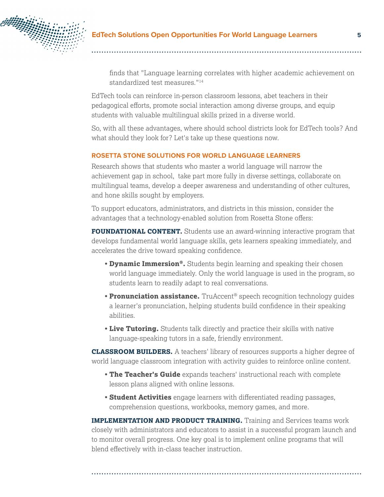

finds that "Language learning correlates with higher academic achievement on standardized test measures."14

EdTech tools can reinforce in-person classroom lessons, abet teachers in their pedagogical efforts, promote social interaction among diverse groups, and equip students with valuable multilingual skills prized in a diverse world.

So, with all these advantages, where should school districts look for EdTech tools? And what should they look for? Let's take up these questions now.

#### **ROSETTA STONE SOLUTIONS FOR WORLD LANGUAGE LEARNERS**

Research shows that students who master a world language will narrow the achievement gap in school, take part more fully in diverse settings, collaborate on multilingual teams, develop a deeper awareness and understanding of other cultures, and hone skills sought by employers.

To support educators, administrators, and districts in this mission, consider the advantages that a technology-enabled solution from Rosetta Stone offers:

**FOUNDATIONAL CONTENT.** Students use an award-winning interactive program that develops fundamental world language skills, gets learners speaking immediately, and accelerates the drive toward speaking confidence.

- **Dynamic Immersion®.** Students begin learning and speaking their chosen world language immediately. Only the world language is used in the program, so students learn to readily adapt to real conversations.
- **Pronunciation assistance.** TruAccent® speech recognition technology guides a learner's pronunciation, helping students build confidence in their speaking abilities.
- **Live Tutoring.** Students talk directly and practice their skills with native language-speaking tutors in a safe, friendly environment.

**CLASSROOM BUILDERS.** A teachers' library of resources supports a higher degree of world language classroom integration with activity guides to reinforce online content.

- **The Teacher's Guide** expands teachers' instructional reach with complete lesson plans aligned with online lessons.
- **Student Activities** engage learners with differentiated reading passages, comprehension questions, workbooks, memory games, and more.

**IMPLEMENTATION AND PRODUCT TRAINING.** Training and Services teams work closely with administrators and educators to assist in a successful program launch and to monitor overall progress. One key goal is to implement online programs that will blend effectively with in-class teacher instruction.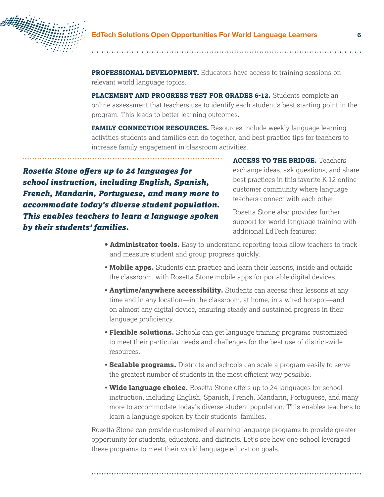

### **EdTech Solutions Open Opportunities For World Language Learners 6**

**PROFESSIONAL DEVELOPMENT.** Educators have access to training sessions on relevant world language topics.

**PLACEMENT AND PROGRESS TEST FOR GRADES 6-12.** Students complete an online assessment that teachers use to identify each student's best starting point in the program. This leads to better learning outcomes.

**FAMILY CONNECTION RESOURCES.** Resources include weekly language learning activities students and families can do together, and best practice tips for teachers to increase family engagement in classroom activities.

*Rosetta Stone offers up to 24 languages for school instruction, including English, Spanish, French, Mandarin, Portuguese, and many more to accommodate today's diverse student population. This enables teachers to learn a language spoken by their students' families.*

**ACCESS TO THE BRIDGE.** Teachers exchange ideas, ask questions, and share best practices in this favorite K-12 online customer community where language teachers connect with each other.

Rosetta Stone also provides further support for world language training with additional EdTech features:

- **Administrator tools.** Easy-to-understand reporting tools allow teachers to track and measure student and group progress quickly.
- **Mobile apps.** Students can practice and learn their lessons, inside and outside the classroom, with Rosetta Stone mobile apps for portable digital devices.
- **Anytime/anywhere accessibility.** Students can access their lessons at any time and in any location—in the classroom, at home, in a wired hotspot—and on almost any digital device, ensuring steady and sustained progress in their language proficiency.
- **Flexible solutions.** Schools can get language training programs customized to meet their particular needs and challenges for the best use of district-wide resources.
- **Scalable programs.** Districts and schools can scale a program easily to serve the greatest number of students in the most efficient way possible.
- **Wide language choice.** Rosetta Stone offers up to 24 languages for school instruction, including English, Spanish, French, Mandarin, Portuguese, and many more to accommodate today's diverse student population. This enables teachers to learn a language spoken by their students' families.

Rosetta Stone can provide customized eLearning language programs to provide greater opportunity for students, educators, and districts. Let's see how one school leveraged these programs to meet their world language education goals.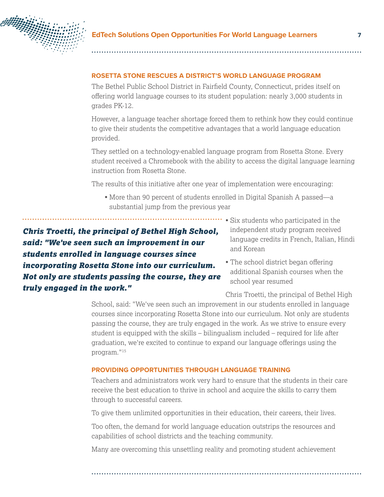

#### **ROSETTA STONE RESCUES A DISTRICT'S WORLD LANGUAGE PROGRAM**

The Bethel Public School District in Fairfield County, Connecticut, prides itself on offering world language courses to its student population: nearly 3,000 students in grades PK-12.

However, a language teacher shortage forced them to rethink how they could continue to give their students the competitive advantages that a world language education provided.

They settled on a technology-enabled language program from Rosetta Stone. Every student received a Chromebook with the ability to access the digital language learning instruction from Rosetta Stone.

The results of this initiative after one year of implementation were encouraging:

• More than 90 percent of students enrolled in Digital Spanish A passed—a substantial jump from the previous year

*Chris Troetti, the principal of Bethel High School, said: "We've seen such an improvement in our students enrolled in language courses since incorporating Rosetta Stone into our curriculum. Not only are students passing the course, they are truly engaged in the work."*

- Six students who participated in the independent study program received language credits in French, Italian, Hindi and Korean
	- The school district began offering additional Spanish courses when the school year resumed

Chris Troetti, the principal of Bethel High

School, said: "We've seen such an improvement in our students enrolled in language courses since incorporating Rosetta Stone into our curriculum. Not only are students passing the course, they are truly engaged in the work. As we strive to ensure every student is equipped with the skills – bilingualism included – required for life after graduation, we're excited to continue to expand our language offerings using the program."15

#### **PROVIDING OPPORTUNITIES THROUGH LANGUAGE TRAINING**

Teachers and administrators work very hard to ensure that the students in their care receive the best education to thrive in school and acquire the skills to carry them through to successful careers.

To give them unlimited opportunities in their education, their careers, their lives.

Too often, the demand for world language education outstrips the resources and capabilities of school districts and the teaching community.

Many are overcoming this unsettling reality and promoting student achievement